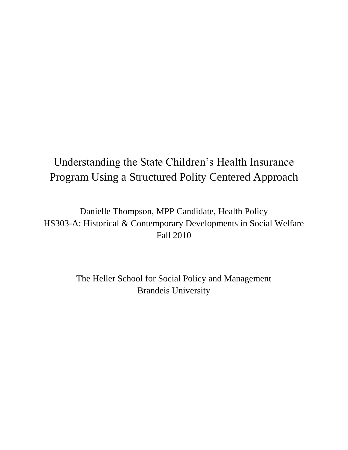# Understanding the State Children's Health Insurance Program Using a Structured Polity Centered Approach

Danielle Thompson, MPP Candidate, Health Policy HS303-A: Historical & Contemporary Developments in Social Welfare Fall 2010

> The Heller School for Social Policy and Management Brandeis University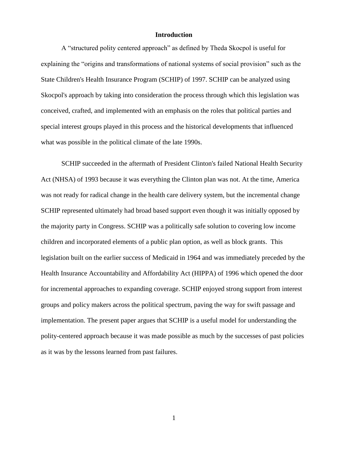## **Introduction**

A "structured polity centered approach" as defined by Theda Skocpol is useful for explaining the "origins and transformations of national systems of social provision" such as the State Children's Health Insurance Program (SCHIP) of 1997. SCHIP can be analyzed using Skocpol's approach by taking into consideration the process through which this legislation was conceived, crafted, and implemented with an emphasis on the roles that political parties and special interest groups played in this process and the historical developments that influenced what was possible in the political climate of the late 1990s.

SCHIP succeeded in the aftermath of President Clinton's failed National Health Security Act (NHSA) of 1993 because it was everything the Clinton plan was not. At the time, America was not ready for radical change in the health care delivery system, but the incremental change SCHIP represented ultimately had broad based support even though it was initially opposed by the majority party in Congress. SCHIP was a politically safe solution to covering low income children and incorporated elements of a public plan option, as well as block grants. This legislation built on the earlier success of Medicaid in 1964 and was immediately preceded by the Health Insurance Accountability and Affordability Act (HIPPA) of 1996 which opened the door for incremental approaches to expanding coverage. SCHIP enjoyed strong support from interest groups and policy makers across the political spectrum, paving the way for swift passage and implementation. The present paper argues that SCHIP is a useful model for understanding the polity-centered approach because it was made possible as much by the successes of past policies as it was by the lessons learned from past failures.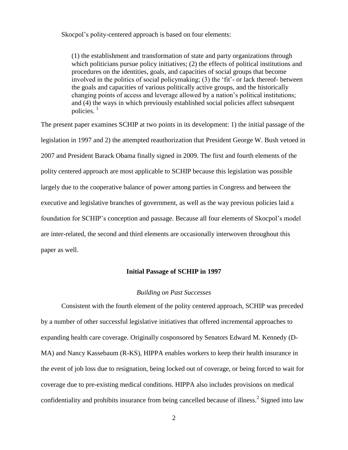Skocpol's polity-centered approach is based on four elements:

(1) the establishment and transformation of state and party organizations through which politicians pursue policy initiatives; (2) the effects of political institutions and procedures on the identities, goals, and capacities of social groups that become involved in the politics of social policymaking; (3) the 'fit'- or lack thereof- between the goals and capacities of various politically active groups, and the historically changing points of access and leverage allowed by a nation's political institutions; and (4) the ways in which previously established social policies affect subsequent policies. $1$ 

The present paper examines SCHIP at two points in its development: 1) the initial passage of the legislation in 1997 and 2) the attempted reauthorization that President George W. Bush vetoed in 2007 and President Barack Obama finally signed in 2009. The first and fourth elements of the polity centered approach are most applicable to SCHIP because this legislation was possible largely due to the cooperative balance of power among parties in Congress and between the executive and legislative branches of government, as well as the way previous policies laid a foundation for SCHIP's conception and passage. Because all four elements of Skocpol's model are inter-related, the second and third elements are occasionally interwoven throughout this paper as well.

#### **Initial Passage of SCHIP in 1997**

#### *Building on Past Successes*

Consistent with the fourth element of the polity centered approach, SCHIP was preceded by a number of other successful legislative initiatives that offered incremental approaches to expanding health care coverage. Originally cosponsored by Senators Edward M. Kennedy (D-MA) and Nancy Kassebaum (R-KS), HIPPA enables workers to keep their health insurance in the event of job loss due to resignation, being locked out of coverage, or being forced to wait for coverage due to pre-existing medical conditions. HIPPA also includes provisions on medical confidentiality and prohibits insurance from being cancelled because of illness.<sup>2</sup> Signed into law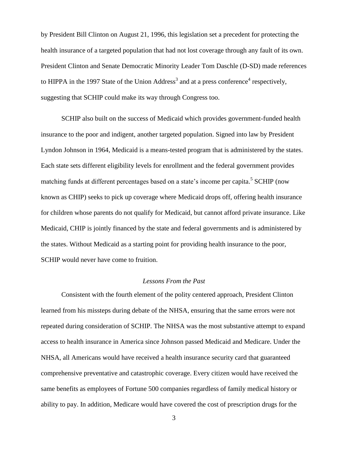by President Bill Clinton on August 21, 1996, this legislation set a precedent for protecting the health insurance of a targeted population that had not lost coverage through any fault of its own. President Clinton and Senate Democratic Minority Leader Tom Daschle (D-SD) made references to HIPPA in the 1997 State of the Union Address<sup>3</sup> and at a press conference<sup>4</sup> respectively, suggesting that SCHIP could make its way through Congress too.

SCHIP also built on the success of Medicaid which provides government-funded health insurance to the poor and indigent, another targeted population. Signed into law by President Lyndon Johnson in 1964, Medicaid is a means-tested program that is administered by the states. Each state sets different eligibility levels for enrollment and the federal government provides matching funds at different percentages based on a state's income per capita.<sup>5</sup> SCHIP (now known as CHIP) seeks to pick up coverage where Medicaid drops off, offering health insurance for children whose parents do not qualify for Medicaid, but cannot afford private insurance. Like Medicaid, CHIP is jointly financed by the state and federal governments and is administered by the states. Without Medicaid as a starting point for providing health insurance to the poor, SCHIP would never have come to fruition.

# *Lessons From the Past*

Consistent with the fourth element of the polity centered approach, President Clinton learned from his missteps during debate of the NHSA, ensuring that the same errors were not repeated during consideration of SCHIP. The NHSA was the most substantive attempt to expand access to health insurance in America since Johnson passed Medicaid and Medicare. Under the NHSA, all Americans would have received a health insurance security card that guaranteed comprehensive preventative and catastrophic coverage. Every citizen would have received the same benefits as employees of Fortune 500 companies regardless of family medical history or ability to pay. In addition, Medicare would have covered the cost of prescription drugs for the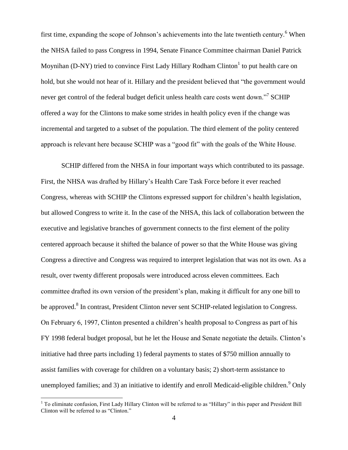first time, expanding the scope of Johnson's achievements into the late twentieth century.<sup>6</sup> When the NHSA failed to pass Congress in 1994, Senate Finance Committee chairman Daniel Patrick Moynihan (D-NY) tried to convince First Lady Hillary Rodham Clinton $^1$  to put health care on hold, but she would not hear of it. Hillary and the president believed that "the government would never get control of the federal budget deficit unless health care costs went down."<sup>7</sup> SCHIP offered a way for the Clintons to make some strides in health policy even if the change was incremental and targeted to a subset of the population. The third element of the polity centered approach is relevant here because SCHIP was a "good fit" with the goals of the White House.

SCHIP differed from the NHSA in four important ways which contributed to its passage. First, the NHSA was drafted by Hillary's Health Care Task Force before it ever reached Congress, whereas with SCHIP the Clintons expressed support for children's health legislation, but allowed Congress to write it. In the case of the NHSA, this lack of collaboration between the executive and legislative branches of government connects to the first element of the polity centered approach because it shifted the balance of power so that the White House was giving Congress a directive and Congress was required to interpret legislation that was not its own. As a result, over twenty different proposals were introduced across eleven committees. Each committee drafted its own version of the president's plan, making it difficult for any one bill to be approved.<sup>8</sup> In contrast, President Clinton never sent SCHIP-related legislation to Congress. On February 6, 1997, Clinton presented a children's health proposal to Congress as part of his FY 1998 federal budget proposal, but he let the House and Senate negotiate the details. Clinton's initiative had three parts including 1) federal payments to states of \$750 million annually to assist families with coverage for children on a voluntary basis; 2) short-term assistance to unemployed families; and 3) an initiative to identify and enroll Medicaid-eligible children.<sup>9</sup> Only

 $\overline{\phantom{a}}$ 

 $1$  To eliminate confusion, First Lady Hillary Clinton will be referred to as "Hillary" in this paper and President Bill Clinton will be referred to as "Clinton."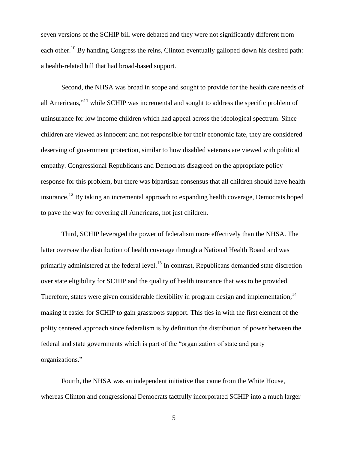seven versions of the SCHIP bill were debated and they were not significantly different from each other.<sup>10</sup> By handing Congress the reins, Clinton eventually galloped down his desired path: a health-related bill that had broad-based support.

Second, the NHSA was broad in scope and sought to provide for the health care needs of all Americans,"<sup>11</sup> while SCHIP was incremental and sought to address the specific problem of uninsurance for low income children which had appeal across the ideological spectrum. Since children are viewed as innocent and not responsible for their economic fate, they are considered deserving of government protection, similar to how disabled veterans are viewed with political empathy. Congressional Republicans and Democrats disagreed on the appropriate policy response for this problem, but there was bipartisan consensus that all children should have health insurance.<sup>12</sup> By taking an incremental approach to expanding health coverage, Democrats hoped to pave the way for covering all Americans, not just children.

Third, SCHIP leveraged the power of federalism more effectively than the NHSA. The latter oversaw the distribution of health coverage through a National Health Board and was primarily administered at the federal level.<sup>13</sup> In contrast, Republicans demanded state discretion over state eligibility for SCHIP and the quality of health insurance that was to be provided. Therefore, states were given considerable flexibility in program design and implementation,  $14$ making it easier for SCHIP to gain grassroots support. This ties in with the first element of the polity centered approach since federalism is by definition the distribution of power between the federal and state governments which is part of the "organization of state and party organizations."

Fourth, the NHSA was an independent initiative that came from the White House, whereas Clinton and congressional Democrats tactfully incorporated SCHIP into a much larger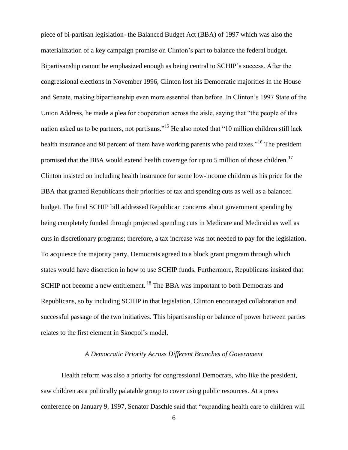piece of bi-partisan legislation- the Balanced Budget Act (BBA) of 1997 which was also the materialization of a key campaign promise on Clinton's part to balance the federal budget. Bipartisanship cannot be emphasized enough as being central to SCHIP's success. After the congressional elections in November 1996, Clinton lost his Democratic majorities in the House and Senate, making bipartisanship even more essential than before. In Clinton's 1997 State of the Union Address, he made a plea for cooperation across the aisle, saying that "the people of this nation asked us to be partners, not partisans."<sup>15</sup> He also noted that "10 million children still lack health insurance and 80 percent of them have working parents who paid taxes."<sup>16</sup> The president promised that the BBA would extend health coverage for up to 5 million of those children.<sup>17</sup> Clinton insisted on including health insurance for some low-income children as his price for the BBA that granted Republicans their priorities of tax and spending cuts as well as a balanced budget. The final SCHIP bill addressed Republican concerns about government spending by being completely funded through projected spending cuts in Medicare and Medicaid as well as cuts in discretionary programs; therefore, a tax increase was not needed to pay for the legislation. To acquiesce the majority party, Democrats agreed to a block grant program through which states would have discretion in how to use SCHIP funds. Furthermore, Republicans insisted that SCHIP not become a new entitlement.<sup>18</sup> The BBA was important to both Democrats and Republicans, so by including SCHIP in that legislation, Clinton encouraged collaboration and successful passage of the two initiatives. This bipartisanship or balance of power between parties relates to the first element in Skocpol's model.

# *A Democratic Priority Across Different Branches of Government*

Health reform was also a priority for congressional Democrats, who like the president, saw children as a politically palatable group to cover using public resources. At a press conference on January 9, 1997, Senator Daschle said that "expanding health care to children will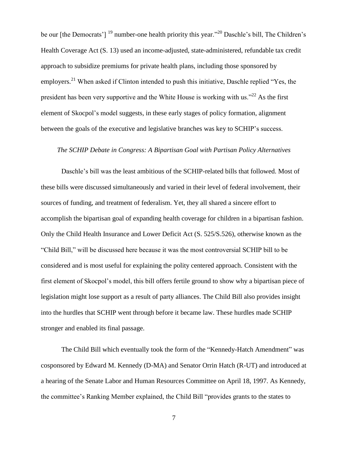be our [the Democrats']  $^{19}$  number-one health priority this year." <sup>20</sup> Daschle's bill, The Children's Health Coverage Act (S. 13) used an income-adjusted, state-administered, refundable tax credit approach to subsidize premiums for private health plans, including those sponsored by employers.<sup>21</sup> When asked if Clinton intended to push this initiative, Daschle replied "Yes, the president has been very supportive and the White House is working with us." $^{22}$  As the first element of Skocpol's model suggests, in these early stages of policy formation, alignment between the goals of the executive and legislative branches was key to SCHIP's success.

# *The SCHIP Debate in Congress: A Bipartisan Goal with Partisan Policy Alternatives*

Daschle's bill was the least ambitious of the SCHIP-related bills that followed. Most of these bills were discussed simultaneously and varied in their level of federal involvement, their sources of funding, and treatment of federalism. Yet, they all shared a sincere effort to accomplish the bipartisan goal of expanding health coverage for children in a bipartisan fashion. Only the Child Health Insurance and Lower Deficit Act (S. 525/S.526), otherwise known as the "Child Bill," will be discussed here because it was the most controversial SCHIP bill to be considered and is most useful for explaining the polity centered approach. Consistent with the first element of Skocpol's model, this bill offers fertile ground to show why a bipartisan piece of legislation might lose support as a result of party alliances. The Child Bill also provides insight into the hurdles that SCHIP went through before it became law. These hurdles made SCHIP stronger and enabled its final passage.

The Child Bill which eventually took the form of the "Kennedy-Hatch Amendment" was cosponsored by Edward M. Kennedy (D-MA) and Senator Orrin Hatch (R-UT) and introduced at a hearing of the Senate Labor and Human Resources Committee on April 18, 1997. As Kennedy, the committee's Ranking Member explained, the Child Bill "provides grants to the states to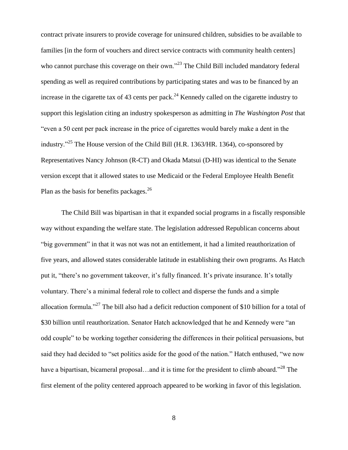contract private insurers to provide coverage for uninsured children, subsidies to be available to families [in the form of vouchers and direct service contracts with community health centers] who cannot purchase this coverage on their own."<sup>23</sup> The Child Bill included mandatory federal spending as well as required contributions by participating states and was to be financed by an increase in the cigarette tax of 43 cents per pack.<sup>24</sup> Kennedy called on the cigarette industry to support this legislation citing an industry spokesperson as admitting in *The Washington Post* that "even a 50 cent per pack increase in the price of cigarettes would barely make a dent in the industry. $25$  The House version of the Child Bill (H.R. 1363/HR. 1364), co-sponsored by Representatives Nancy Johnson (R-CT) and Okada Matsui (D-HI) was identical to the Senate version except that it allowed states to use Medicaid or the Federal Employee Health Benefit Plan as the basis for benefits packages. $^{26}$ 

The Child Bill was bipartisan in that it expanded social programs in a fiscally responsible way without expanding the welfare state. The legislation addressed Republican concerns about "big government" in that it was not was not an entitlement, it had a limited reauthorization of five years, and allowed states considerable latitude in establishing their own programs. As Hatch put it, "there's no government takeover, it's fully financed. It's private insurance. It's totally voluntary. There's a minimal federal role to collect and disperse the funds and a simple allocation formula."<sup>27</sup> The bill also had a deficit reduction component of \$10 billion for a total of \$30 billion until reauthorization. Senator Hatch acknowledged that he and Kennedy were "an odd couple" to be working together considering the differences in their political persuasions, but said they had decided to "set politics aside for the good of the nation." Hatch enthused, "we now have a bipartisan, bicameral proposal…and it is time for the president to climb aboard."<sup>28</sup> The first element of the polity centered approach appeared to be working in favor of this legislation.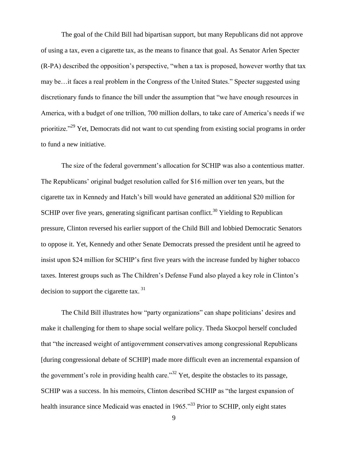The goal of the Child Bill had bipartisan support, but many Republicans did not approve of using a tax, even a cigarette tax, as the means to finance that goal. As Senator Arlen Specter (R-PA) described the opposition's perspective, "when a tax is proposed, however worthy that tax may be…it faces a real problem in the Congress of the United States." Specter suggested using discretionary funds to finance the bill under the assumption that "we have enough resources in America, with a budget of one trillion, 700 million dollars, to take care of America's needs if we prioritize."<sup>29</sup> Yet, Democrats did not want to cut spending from existing social programs in order to fund a new initiative.

The size of the federal government's allocation for SCHIP was also a contentious matter. The Republicans' original budget resolution called for \$16 million over ten years, but the cigarette tax in Kennedy and Hatch's bill would have generated an additional \$20 million for SCHIP over five years, generating significant partisan conflict.<sup>30</sup> Yielding to Republican pressure, Clinton reversed his earlier support of the Child Bill and lobbied Democratic Senators to oppose it. Yet, Kennedy and other Senate Democrats pressed the president until he agreed to insist upon \$24 million for SCHIP's first five years with the increase funded by higher tobacco taxes. Interest groups such as The Children's Defense Fund also played a key role in Clinton's decision to support the cigarette tax. <sup>31</sup>

The Child Bill illustrates how "party organizations" can shape politicians' desires and make it challenging for them to shape social welfare policy. Theda Skocpol herself concluded that "the increased weight of antigovernment conservatives among congressional Republicans [during congressional debate of SCHIP] made more difficult even an incremental expansion of the government's role in providing health care."<sup>32</sup> Yet, despite the obstacles to its passage, SCHIP was a success. In his memoirs, Clinton described SCHIP as "the largest expansion of health insurance since Medicaid was enacted in 1965.<sup>33</sup> Prior to SCHIP, only eight states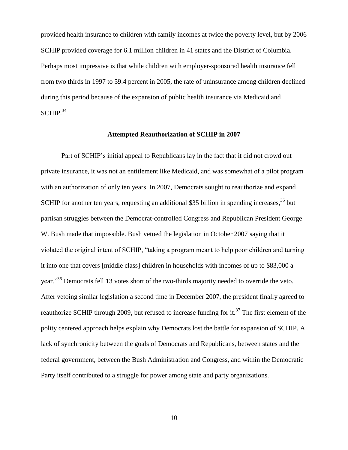provided health insurance to children with family incomes at twice the poverty level, but by 2006 SCHIP provided coverage for 6.1 million children in 41 states and the District of Columbia. Perhaps most impressive is that while children with employer-sponsored health insurance fell from two thirds in 1997 to 59.4 percent in 2005, the rate of uninsurance among children declined during this period because of the expansion of public health insurance via Medicaid and  $SCHIP.<sup>34</sup>$ 

## **Attempted Reauthorization of SCHIP in 2007**

Part of SCHIP's initial appeal to Republicans lay in the fact that it did not crowd out private insurance, it was not an entitlement like Medicaid, and was somewhat of a pilot program with an authorization of only ten years. In 2007, Democrats sought to reauthorize and expand SCHIP for another ten years, requesting an additional \$35 billion in spending increases,<sup>35</sup> but partisan struggles between the Democrat-controlled Congress and Republican President George W. Bush made that impossible. Bush vetoed the legislation in October 2007 saying that it violated the original intent of SCHIP, "taking a program meant to help poor children and turning it into one that covers [middle class] children in households with incomes of up to \$83,000 a year."<sup>36</sup> Democrats fell 13 votes short of the two-thirds majority needed to override the veto. After vetoing similar legislation a second time in December 2007, the president finally agreed to reauthorize SCHIP through 2009, but refused to increase funding for it.<sup>37</sup> The first element of the polity centered approach helps explain why Democrats lost the battle for expansion of SCHIP. A lack of synchronicity between the goals of Democrats and Republicans, between states and the federal government, between the Bush Administration and Congress, and within the Democratic Party itself contributed to a struggle for power among state and party organizations.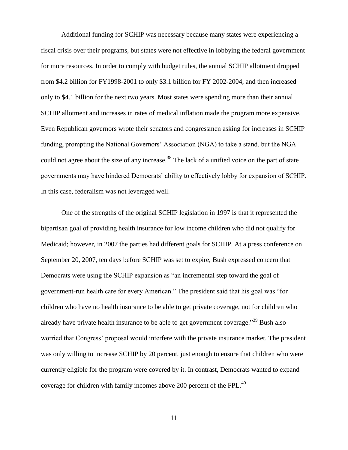Additional funding for SCHIP was necessary because many states were experiencing a fiscal crisis over their programs, but states were not effective in lobbying the federal government for more resources. In order to comply with budget rules, the annual SCHIP allotment dropped from \$4.2 billion for FY1998-2001 to only \$3.1 billion for FY 2002-2004, and then increased only to \$4.1 billion for the next two years. Most states were spending more than their annual SCHIP allotment and increases in rates of medical inflation made the program more expensive. Even Republican governors wrote their senators and congressmen asking for increases in SCHIP funding, prompting the National Governors' Association (NGA) to take a stand, but the NGA could not agree about the size of any increase.<sup>38</sup> The lack of a unified voice on the part of state governments may have hindered Democrats' ability to effectively lobby for expansion of SCHIP. In this case, federalism was not leveraged well.

One of the strengths of the original SCHIP legislation in 1997 is that it represented the bipartisan goal of providing health insurance for low income children who did not qualify for Medicaid; however, in 2007 the parties had different goals for SCHIP. At a press conference on September 20, 2007, ten days before SCHIP was set to expire, Bush expressed concern that Democrats were using the SCHIP expansion as "an incremental step toward the goal of government-run health care for every American." The president said that his goal was "for children who have no health insurance to be able to get private coverage, not for children who already have private health insurance to be able to get government coverage."<sup>39</sup> Bush also worried that Congress' proposal would interfere with the private insurance market. The president was only willing to increase SCHIP by 20 percent, just enough to ensure that children who were currently eligible for the program were covered by it. In contrast, Democrats wanted to expand coverage for children with family incomes above 200 percent of the FPL. $^{40}$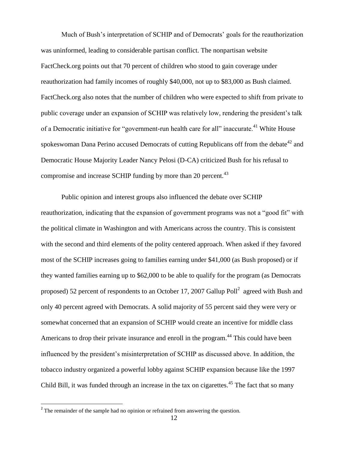Much of Bush's interpretation of SCHIP and of Democrats' goals for the reauthorization was uninformed, leading to considerable partisan conflict. The nonpartisan website FactCheck.org points out that 70 percent of children who stood to gain coverage under reauthorization had family incomes of roughly \$40,000, not up to \$83,000 as Bush claimed. FactCheck.org also notes that the number of children who were expected to shift from private to public coverage under an expansion of SCHIP was relatively low, rendering the president's talk of a Democratic initiative for "government-run health care for all" inaccurate.<sup>41</sup> White House spokeswoman Dana Perino accused Democrats of cutting Republicans off from the debate<sup>42</sup> and Democratic House Majority Leader Nancy Pelosi (D-CA) criticized Bush for his refusal to compromise and increase SCHIP funding by more than 20 percent.<sup>43</sup>

Public opinion and interest groups also influenced the debate over SCHIP reauthorization, indicating that the expansion of government programs was not a "good fit" with the political climate in Washington and with Americans across the country. This is consistent with the second and third elements of the polity centered approach. When asked if they favored most of the SCHIP increases going to families earning under \$41,000 (as Bush proposed) or if they wanted families earning up to \$62,000 to be able to qualify for the program (as Democrats proposed) 52 percent of respondents to an October 17, 2007 Gallup Poll<sup>2</sup> agreed with Bush and only 40 percent agreed with Democrats. A solid majority of 55 percent said they were very or somewhat concerned that an expansion of SCHIP would create an incentive for middle class Americans to drop their private insurance and enroll in the program.<sup>44</sup> This could have been influenced by the president's misinterpretation of SCHIP as discussed above. In addition, the tobacco industry organized a powerful lobby against SCHIP expansion because like the 1997 Child Bill, it was funded through an increase in the tax on cigarettes.<sup>45</sup> The fact that so many

<sup>&</sup>lt;sup>2</sup> The remainder of the sample had no opinion or refrained from answering the question.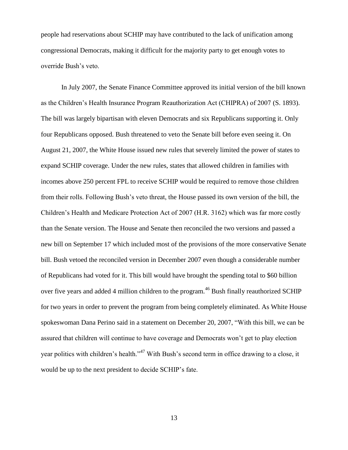people had reservations about SCHIP may have contributed to the lack of unification among congressional Democrats, making it difficult for the majority party to get enough votes to override Bush's veto.

In July 2007, the Senate Finance Committee approved its initial version of the bill known as the Children's Health Insurance Program Reauthorization Act (CHIPRA) of 2007 (S. 1893). The bill was largely bipartisan with eleven Democrats and six Republicans supporting it. Only four Republicans opposed. Bush threatened to veto the Senate bill before even seeing it. On August 21, 2007, the White House issued new rules that severely limited the power of states to expand SCHIP coverage. Under the new rules, states that allowed children in families with incomes above 250 percent FPL to receive SCHIP would be required to remove those children from their rolls. Following Bush's veto threat, the House passed its own version of the bill, the Children's Health and Medicare Protection Act of 2007 (H.R. 3162) which was far more costly than the Senate version. The House and Senate then reconciled the two versions and passed a new bill on September 17 which included most of the provisions of the more conservative Senate bill. Bush vetoed the reconciled version in December 2007 even though a considerable number of Republicans had voted for it. This bill would have brought the spending total to \$60 billion over five years and added 4 million children to the program.<sup>46</sup> Bush finally reauthorized SCHIP for two years in order to prevent the program from being completely eliminated. As White House spokeswoman Dana Perino said in a statement on December 20, 2007, "With this bill, we can be assured that children will continue to have coverage and Democrats won't get to play election year politics with children's health."<sup>47</sup> With Bush's second term in office drawing to a close, it would be up to the next president to decide SCHIP's fate.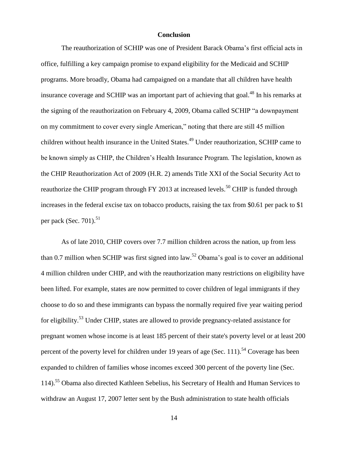## **Conclusion**

The reauthorization of SCHIP was one of President Barack Obama's first official acts in office, fulfilling a key campaign promise to expand eligibility for the Medicaid and SCHIP programs. More broadly, Obama had campaigned on a mandate that all children have health insurance coverage and SCHIP was an important part of achieving that goal.<sup>48</sup> In his remarks at the signing of the reauthorization on February 4, 2009, Obama called SCHIP "a downpayment on my commitment to cover every single American," noting that there are still 45 million children without health insurance in the United States.<sup>49</sup> Under reauthorization, SCHIP came to be known simply as CHIP, the Children's Health Insurance Program. The legislation, known as the CHIP Reauthorization Act of 2009 (H.R. 2) amends Title XXI of the Social Security Act to reauthorize the CHIP program through FY 2013 at increased levels.<sup>50</sup> CHIP is funded through increases in the federal excise tax on tobacco products, raising the tax from \$0.61 per pack to \$1 per pack (Sec.  $701$ ).<sup>51</sup>

As of late 2010, CHIP covers over 7.7 million children across the nation, up from less than 0.7 million when SCHIP was first signed into law.<sup>52</sup> Obama's goal is to cover an additional 4 million children under CHIP, and with the reauthorization many restrictions on eligibility have been lifted. For example, states are now permitted to cover children of legal immigrants if they choose to do so and these immigrants can bypass the normally required five year waiting period for eligibility.<sup>53</sup> Under CHIP, states are allowed to provide pregnancy-related assistance for pregnant women whose income is at least 185 percent of their state's poverty level or at least 200 percent of the poverty level for children under 19 years of age (Sec. 111).<sup>54</sup> Coverage has been expanded to children of families whose incomes exceed 300 percent of the poverty line (Sec. 114).<sup>55</sup> Obama also directed Kathleen Sebelius, his Secretary of Health and Human Services to withdraw an August 17, 2007 letter sent by the Bush administration to state health officials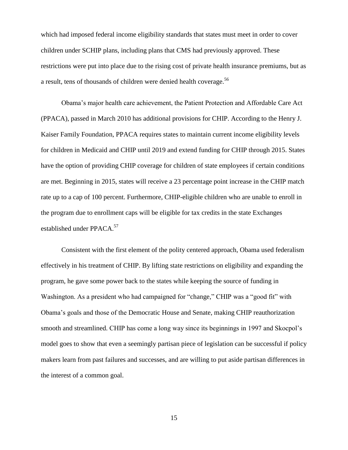which had imposed federal income eligibility standards that states must meet in order to cover children under SCHIP plans, including plans that CMS had previously approved. These restrictions were put into place due to the rising cost of private health insurance premiums, but as a result, tens of thousands of children were denied health coverage.<sup>56</sup>

Obama's major health care achievement, the Patient Protection and Affordable Care Act (PPACA), passed in March 2010 has additional provisions for CHIP. According to the Henry J. Kaiser Family Foundation, PPACA requires states to maintain current income eligibility levels for children in Medicaid and CHIP until 2019 and extend funding for CHIP through 2015. States have the option of providing CHIP coverage for children of state employees if certain conditions are met. Beginning in 2015, states will receive a 23 percentage point increase in the CHIP match rate up to a cap of 100 percent. Furthermore, CHIP-eligible children who are unable to enroll in the program due to enrollment caps will be eligible for tax credits in the state Exchanges established under PPACA.<sup>57</sup>

Consistent with the first element of the polity centered approach, Obama used federalism effectively in his treatment of CHIP. By lifting state restrictions on eligibility and expanding the program, he gave some power back to the states while keeping the source of funding in Washington. As a president who had campaigned for "change," CHIP was a "good fit" with Obama's goals and those of the Democratic House and Senate, making CHIP reauthorization smooth and streamlined. CHIP has come a long way since its beginnings in 1997 and Skocpol's model goes to show that even a seemingly partisan piece of legislation can be successful if policy makers learn from past failures and successes, and are willing to put aside partisan differences in the interest of a common goal.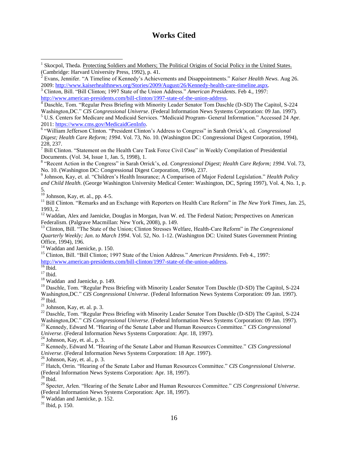# **Works Cited**

 $\frac{7}{7}$  Bill Clinton. "Statement on the Health Care Task Force Civil Case" in Weekly Compilation of Presidential Documents. (Vol. 34, Issue 1, Jan. 5, 1998), 1.

8 "Recent Action in the Congress" in Sarah Orrick's, ed. *Congressional Digest; Health Care Reform; 1994*. Vol. 73, No. 10. (Washington DC: Congressional Digest Corporation, 1994), 237.

9 Johnson, Kay, et. al. "Children's Health Insurance; A Comparison of Major Federal Legislation." *Health Policy and Child Health*. (George Washington University Medical Center: Washington, DC, Spring 1997), Vol. 4, No. 1, p. 5.

 $10$  Johnson, Kay, et. al., pp. 4-5.

<sup>11</sup> Bill Clinton. "Remarks and an Exchange with Reporters on Health Care Reform" in *The New York Times*, Jan. 25, 1993, 2.

<sup>12</sup> Waddan, Alex and Jaenicke, Douglas in Morgan, Ivan W. ed. The Federal Nation; Perspectives on American Federalism. (Palgrave Macmillan: New York, 2008), p. 149.

<sup>13</sup> Clinton, Bill. "The State of the Union; Clinton Stresses Welfare, Health-Care Reform" in *The Congressional Quarterly Weekly; Jan. to March 1994*. Vol. 52, No. 1-12. (Washington DC: United States Government Printing Office, 1994), 196.

<sup>14</sup> Waddan and Jaenicke, p. 150.

<sup>15</sup> Clinton, Bill. "Bill Clinton; 1997 State of the Union Address." *American Presidents*. Feb 4., 1997: [http://www.american-presidents.com/bill-clinton/1997-state-of-the-union-address.](http://www.american-presidents.com/bill-clinton/1997-state-of-the-union-address)

 $16$  Ibid.

 $17$  Ibid.

 $\overline{\phantom{a}}$ 

<sup>18</sup> Waddan and Jaenicke, p. 149.

<sup>19</sup> Daschle, Tom. "Regular Press Briefing with Minority Leader Senator Tom Daschle (D-SD) The Capitol, S-224 Washington,DC." *CIS Congressional Universe*. (Federal Information News Systems Corporation: 09 Jan. 1997).  $20$  Ibid.

 $^{21}$  Johnson, Kay, et. al. p. 3.

<sup>22</sup> Daschle, Tom. "Regular Press Briefing with Minority Leader Senator Tom Daschle (D-SD) The Capitol, S-224 Washington,DC." *CIS Congressional Universe*. (Federal Information News Systems Corporation: 09 Jan. 1997). <sup>23</sup> Kennedy, Edward M. "Hearing of the Senate Labor and Human Resources Committee." *CIS Congressional* 

*Universe*. (Federal Information News Systems Corporation: Apr. 18, 1997).

 $24$  Johnson, Kay, et. al., p. 3.

<sup>25</sup> Kennedy, Edward M. "Hearing of the Senate Labor and Human Resources Committee." *CIS Congressional Universe*. (Federal Information News Systems Corporation: 18 Apr. 1997).

 $^{26}$  Johnson, Kay, et. al., p. 3.

<sup>27</sup> Hatch, Orrin. "Hearing of the Senate Labor and Human Resources Committee." *CIS Congressional Universe*. (Federal Information News Systems Corporation: Apr. 18, 1997).

 $^{28}$  Ibid.

<sup>29</sup> Specter, Arlen. "Hearing of the Senate Labor and Human Resources Committee." *CIS Congressional Universe*. (Federal Information News Systems Corporation: Apr. 18, 1997).

 $30$  Waddan and Jaenicke, p. 152.

 $31$  Ibid, p. 150.

<sup>1</sup> Skocpol, Theda. Protecting Soldiers and Mothers; The Political Origins of Social Policy in the United States. (Cambridge: Harvard University Press, 1992), p. 41.

<sup>2</sup> Evans, Jennifer. "A Timeline of Kennedy's Achievements and Disappointments." *Kaiser Health News*. Aug 26. 2009: [http://www.kaiserhealthnews.org/Stories/2009/August/26/Kennedy-health-care-timeline.aspx.](http://www.kaiserhealthnews.org/Stories/2009/August/26/Kennedy-health-care-timeline.aspx)

<sup>3</sup> Clinton, Bill. "Bill Clinton; 1997 State of the Union Address." *American Presidents*. Feb 4., 1997: [http://www.american-presidents.com/bill-clinton/1997-state-of-the-union-address.](http://www.american-presidents.com/bill-clinton/1997-state-of-the-union-address)

<sup>&</sup>lt;sup>4</sup> Daschle, Tom. "Regular Press Briefing with Minority Leader Senator Tom Daschle (D-SD) The Capitol, S-224

Washington,DC." *CIS Congressional Universe*. (Federal Information News Systems Corporation: 09 Jan. 1997).

<sup>5</sup> U.S. Centers for Medicare and Medicaid Services. "Medicaid Program- General Information." Accessed 24 Apr. 2011: [https://www.cms.gov/MedicaidGenInfo.](https://www.cms.gov/MedicaidGenInfo)

<sup>6</sup> "William Jefferson Clinton. "President Clinton's Address to Congress" in Sarah Orrick's, ed. *Congressional Digest; Health Care Reform; 1994*. Vol. 73, No. 10. (Washington DC: Congressional Digest Corporation, 1994), 228, 237.